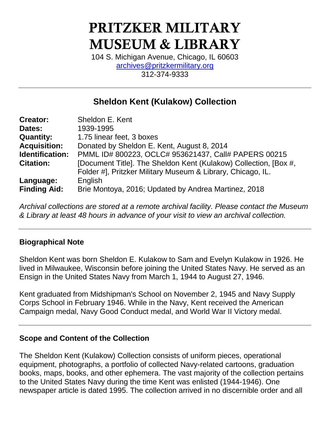# PRITZKER MILITARY MUSEUM & LIBRARY

104 S. Michigan Avenue, Chicago, IL 60603 [archives@pritzkermilitary.org](mailto:archives@pritzkermilitary.org) 312-374-9333

# **Sheldon Kent (Kulakow) Collection**

| <b>Creator:</b>     | Sheldon E. Kent                                                  |
|---------------------|------------------------------------------------------------------|
| Dates:              | 1939-1995                                                        |
| <b>Quantity:</b>    | 1.75 linear feet, 3 boxes                                        |
| <b>Acquisition:</b> | Donated by Sheldon E. Kent, August 8, 2014                       |
| Identification:     | PMML ID# 800223, OCLC# 953621437, Call# PAPERS 00215             |
| <b>Citation:</b>    | [Document Title]. The Sheldon Kent (Kulakow) Collection, [Box #, |
|                     | Folder #], Pritzker Military Museum & Library, Chicago, IL.      |
| Language:           | English                                                          |
| <b>Finding Aid:</b> | Brie Montoya, 2016; Updated by Andrea Martinez, 2018             |

*Archival collections are stored at a remote archival facility. Please contact the Museum & Library at least 48 hours in advance of your visit to view an archival collection.*

## **Biographical Note**

Sheldon Kent was born Sheldon E. Kulakow to Sam and Evelyn Kulakow in 1926. He lived in Milwaukee, Wisconsin before joining the United States Navy. He served as an Ensign in the United States Navy from March 1, 1944 to August 27, 1946.

Kent graduated from Midshipman's School on November 2, 1945 and Navy Supply Corps School in February 1946. While in the Navy, Kent received the American Campaign medal, Navy Good Conduct medal, and World War II Victory medal.

#### **Scope and Content of the Collection**

The Sheldon Kent (Kulakow) Collection consists of uniform pieces, operational equipment, photographs, a portfolio of collected Navy-related cartoons, graduation books, maps, books, and other ephemera. The vast majority of the collection pertains to the United States Navy during the time Kent was enlisted (1944-1946). One newspaper article is dated 1995. The collection arrived in no discernible order and all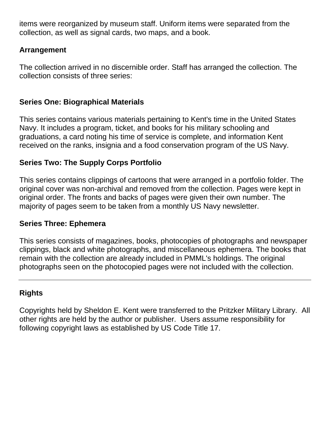items were reorganized by museum staff. Uniform items were separated from the collection, as well as signal cards, two maps, and a book.

# **Arrangement**

The collection arrived in no discernible order. Staff has arranged the collection. The collection consists of three series:

## **Series One: Biographical Materials**

This series contains various materials pertaining to Kent's time in the United States Navy. It includes a program, ticket, and books for his military schooling and graduations, a card noting his time of service is complete, and information Kent received on the ranks, insignia and a food conservation program of the US Navy.

# **Series Two: The Supply Corps Portfolio**

This series contains clippings of cartoons that were arranged in a portfolio folder. The original cover was non-archival and removed from the collection. Pages were kept in original order. The fronts and backs of pages were given their own number. The majority of pages seem to be taken from a monthly US Navy newsletter.

#### **Series Three: Ephemera**

This series consists of magazines, books, photocopies of photographs and newspaper clippings, black and white photographs, and miscellaneous ephemera. The books that remain with the collection are already included in PMML's holdings. The original photographs seen on the photocopied pages were not included with the collection.

## **Rights**

Copyrights held by Sheldon E. Kent were transferred to the Pritzker Military Library. All other rights are held by the author or publisher. Users assume responsibility for following copyright laws as established by US Code Title 17.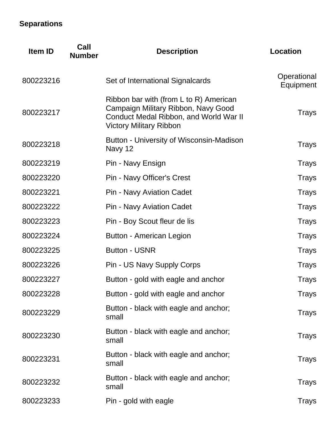# **Separations**

| <b>Item ID</b> | Call<br><b>Number</b> | <b>Description</b>                                                                                                                                        | <b>Location</b>          |
|----------------|-----------------------|-----------------------------------------------------------------------------------------------------------------------------------------------------------|--------------------------|
| 800223216      |                       | Set of International Signalcards                                                                                                                          | Operational<br>Equipment |
| 800223217      |                       | Ribbon bar with (from L to R) American<br>Campaign Military Ribbon, Navy Good<br>Conduct Medal Ribbon, and World War II<br><b>Victory Military Ribbon</b> | Trays                    |
| 800223218      |                       | Button - University of Wisconsin-Madison<br>Navy 12                                                                                                       | Trays                    |
| 800223219      |                       | Pin - Navy Ensign                                                                                                                                         | Trays                    |
| 800223220      |                       | Pin - Navy Officer's Crest                                                                                                                                | <b>Trays</b>             |
| 800223221      |                       | <b>Pin - Navy Aviation Cadet</b>                                                                                                                          | <b>Trays</b>             |
| 800223222      |                       | <b>Pin - Navy Aviation Cadet</b>                                                                                                                          | <b>Trays</b>             |
| 800223223      |                       | Pin - Boy Scout fleur de lis                                                                                                                              | <b>Trays</b>             |
| 800223224      |                       | Button - American Legion                                                                                                                                  | <b>Trays</b>             |
| 800223225      |                       | <b>Button - USNR</b>                                                                                                                                      | <b>Trays</b>             |
| 800223226      |                       | Pin - US Navy Supply Corps                                                                                                                                | <b>Trays</b>             |
| 800223227      |                       | Button - gold with eagle and anchor                                                                                                                       | Trays                    |
| 800223228      |                       | Button - gold with eagle and anchor                                                                                                                       | Trays                    |
| 800223229      |                       | Button - black with eagle and anchor;<br>small                                                                                                            | Trays                    |
| 800223230      |                       | Button - black with eagle and anchor;<br>small                                                                                                            | Trays                    |
| 800223231      |                       | Button - black with eagle and anchor;<br>small                                                                                                            | Trays                    |
| 800223232      |                       | Button - black with eagle and anchor;<br>small                                                                                                            | Trays                    |
| 800223233      |                       | Pin - gold with eagle                                                                                                                                     | Trays                    |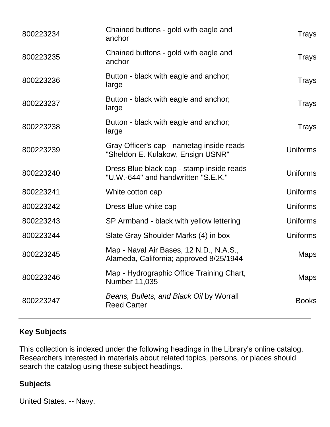| 800223234 | Chained buttons - gold with eagle and<br>anchor                                    | Trays           |
|-----------|------------------------------------------------------------------------------------|-----------------|
| 800223235 | Chained buttons - gold with eagle and<br>anchor                                    | Trays           |
| 800223236 | Button - black with eagle and anchor;<br>large                                     | Trays           |
| 800223237 | Button - black with eagle and anchor;<br>large                                     | Trays           |
| 800223238 | Button - black with eagle and anchor;<br>large                                     | Trays           |
| 800223239 | Gray Officer's cap - nametag inside reads<br>"Sheldon E. Kulakow, Ensign USNR"     | <b>Uniforms</b> |
| 800223240 | Dress Blue black cap - stamp inside reads<br>"U.W.-644" and handwritten "S.E.K."   | <b>Uniforms</b> |
| 800223241 | White cotton cap                                                                   | <b>Uniforms</b> |
| 800223242 | Dress Blue white cap                                                               | <b>Uniforms</b> |
| 800223243 | SP Armband - black with yellow lettering                                           | Uniforms        |
| 800223244 | Slate Gray Shoulder Marks (4) in box                                               | Uniforms        |
| 800223245 | Map - Naval Air Bases, 12 N.D., N.A.S.,<br>Alameda, California; approved 8/25/1944 | <b>Maps</b>     |
| 800223246 | Map - Hydrographic Office Training Chart,<br><b>Number 11,035</b>                  | <b>Maps</b>     |
| 800223247 | Beans, Bullets, and Black Oil by Worrall<br><b>Reed Carter</b>                     | <b>Books</b>    |
|           |                                                                                    |                 |

# **Key Subjects**

This collection is indexed under the following headings in the Library's online catalog. Researchers interested in materials about related topics, persons, or places should search the catalog using these subject headings.

# **Subjects**

United States. -- Navy.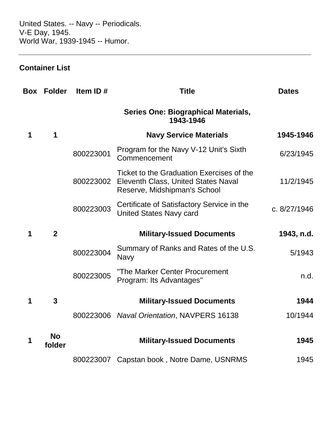United States. -- Navy -- Periodicals. V-E Day, 1945. World War, 1939-1945 -- Humor.

# **Container List**

| Box | <b>Folder</b>       | Item ID#  | <b>Title</b>                                                                                                     | <b>Dates</b> |
|-----|---------------------|-----------|------------------------------------------------------------------------------------------------------------------|--------------|
|     |                     |           | <b>Series One: Biographical Materials,</b><br>1943-1946                                                          |              |
| 1   | 1                   |           | <b>Navy Service Materials</b>                                                                                    | 1945-1946    |
|     |                     | 800223001 | Program for the Navy V-12 Unit's Sixth<br>Commencement                                                           | 6/23/1945    |
|     |                     | 800223002 | Ticket to the Graduation Exercises of the<br>Eleventh Class, United States Naval<br>Reserve, Midshipman's School | 11/2/1945    |
|     |                     | 800223003 | Certificate of Satisfactory Service in the<br><b>United States Navy card</b>                                     | c. 8/27/1946 |
| 1   | $\overline{2}$      |           | <b>Military-Issued Documents</b>                                                                                 | 1943, n.d.   |
|     |                     | 800223004 | Summary of Ranks and Rates of the U.S.<br><b>Navy</b>                                                            | 5/1943       |
|     |                     | 800223005 | "The Marker Center Procurement<br>Program: Its Advantages"                                                       | n.d.         |
| 1   | 3                   |           | <b>Military-Issued Documents</b>                                                                                 | 1944         |
|     |                     |           | 800223006 Naval Orientation, NAVPERS 16138                                                                       | 10/1944      |
|     | <b>No</b><br>folder |           | <b>Military-Issued Documents</b>                                                                                 | 1945         |
|     |                     | 800223007 | Capstan book, Notre Dame, USNRMS                                                                                 | 1945         |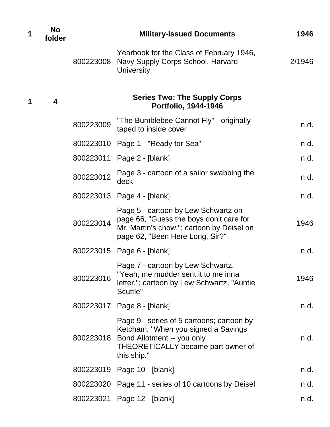| 1 | <b>No</b><br>folder     |           | <b>Military-Issued Documents</b>                                                                                                                                    | 1946   |
|---|-------------------------|-----------|---------------------------------------------------------------------------------------------------------------------------------------------------------------------|--------|
|   |                         | 800223008 | Yearbook for the Class of February 1946,<br>Navy Supply Corps School, Harvard<br><b>University</b>                                                                  | 2/1946 |
| 1 | $\overline{\mathbf{4}}$ |           | <b>Series Two: The Supply Corps</b><br>Portfolio, 1944-1946                                                                                                         |        |
|   |                         | 800223009 | "The Bumblebee Cannot Fly" - originally<br>taped to inside cover                                                                                                    | n.d.   |
|   |                         |           | 800223010 Page 1 - "Ready for Sea"                                                                                                                                  | n.d.   |
|   |                         |           | 800223011 Page 2 - [blank]                                                                                                                                          | n.d.   |
|   |                         | 800223012 | Page 3 - cartoon of a sailor swabbing the<br>deck                                                                                                                   | n.d.   |
|   |                         |           | 800223013 Page 4 - [blank]                                                                                                                                          | n.d.   |
|   |                         | 800223014 | Page 5 - cartoon by Lew Schwartz on<br>page 66, "Guess the boys don't care for<br>Mr. Martin's chow."; cartoon by Deisel on<br>page 62, "Been Here Long, Sir?"      | 1946   |
|   |                         |           | 800223015 Page 6 - [blank]                                                                                                                                          | n.d.   |
|   |                         | 800223016 | Page 7 - cartoon by Lew Schwartz,<br>"Yeah, me mudder sent it to me inna<br>letter."; cartoon by Lew Schwartz, "Auntie<br>Scuttle"                                  | 1946   |
|   |                         |           | 800223017    Page 8 - [blank]                                                                                                                                       | n.d.   |
|   |                         | 800223018 | Page 9 - series of 5 cartoons; cartoon by<br>Ketcham, "When you signed a Savings<br>Bond Allotment -- you only<br>THEORETICALLY became part owner of<br>this ship." | n.d.   |
|   |                         |           | 800223019 Page 10 - [blank]                                                                                                                                         | n.d.   |
|   |                         |           | 800223020 Page 11 - series of 10 cartoons by Deisel                                                                                                                 | n.d.   |
|   |                         |           | 800223021 Page 12 - [blank]                                                                                                                                         | n.d.   |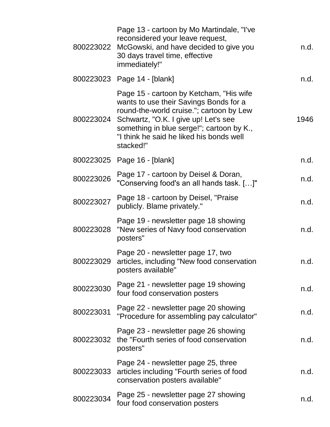| 800223022 | Page 13 - cartoon by Mo Martindale, "I've<br>reconsidered your leave request,<br>McGowski, and have decided to give you<br>30 days travel time, effective<br>immediately!"                                                                                                  | n.d. |
|-----------|-----------------------------------------------------------------------------------------------------------------------------------------------------------------------------------------------------------------------------------------------------------------------------|------|
|           | 800223023 Page 14 - [blank]                                                                                                                                                                                                                                                 | n.d. |
| 800223024 | Page 15 - cartoon by Ketcham, "His wife<br>wants to use their Savings Bonds for a<br>round-the-world cruise."; cartoon by Lew<br>Schwartz, "O.K. I give up! Let's see<br>something in blue serge!"; cartoon by K.,<br>"I think he said he liked his bonds well<br>stacked!" | 1946 |
|           | 800223025 Page 16 - [blank]                                                                                                                                                                                                                                                 | n.d. |
| 800223026 | Page 17 - cartoon by Deisel & Doran,<br>"Conserving food's an all hands task. []"                                                                                                                                                                                           | n.d. |
| 800223027 | Page 18 - cartoon by Deisel, "Praise<br>publicly. Blame privately."                                                                                                                                                                                                         | n.d. |
| 800223028 | Page 19 - newsletter page 18 showing<br>"New series of Navy food conservation<br>posters"                                                                                                                                                                                   | n.d. |
| 800223029 | Page 20 - newsletter page 17, two<br>articles, including "New food conservation<br>posters available"                                                                                                                                                                       | n.d. |
| 800223030 | Page 21 - newsletter page 19 showing<br>four food conservation posters                                                                                                                                                                                                      | n.d. |
| 800223031 | Page 22 - newsletter page 20 showing<br>"Procedure for assembling pay calculator"                                                                                                                                                                                           | n.d. |
| 800223032 | Page 23 - newsletter page 26 showing<br>the "Fourth series of food conservation<br>posters"                                                                                                                                                                                 | n.d. |
| 800223033 | Page 24 - newsletter page 25, three<br>articles including "Fourth series of food<br>conservation posters available"                                                                                                                                                         | n.d. |
| 800223034 | Page 25 - newsletter page 27 showing<br>four food conservation posters                                                                                                                                                                                                      | n.d. |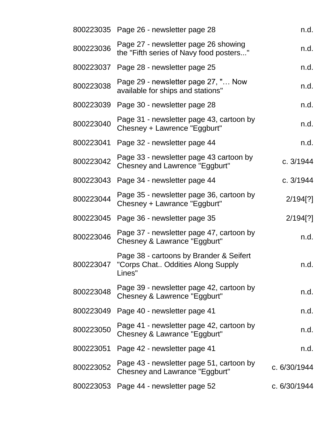|           | 800223035 Page 26 - newsletter page 28                                                 | n.d.           |
|-----------|----------------------------------------------------------------------------------------|----------------|
| 800223036 | Page 27 - newsletter page 26 showing<br>the "Fifth series of Navy food posters"        | n.d.           |
| 800223037 | Page 28 - newsletter page 25                                                           | n.d.           |
| 800223038 | Page 29 - newsletter page 27, " Now<br>available for ships and stations"               | n.d.           |
| 800223039 | Page 30 - newsletter page 28                                                           | n.d.           |
| 800223040 | Page 31 - newsletter page 43, cartoon by<br>Chesney + Lawrence "Eggburt"               | n.d.           |
| 800223041 | Page 32 - newsletter page 44                                                           | n.d.           |
| 800223042 | Page 33 - newsletter page 43 cartoon by<br>Chesney and Lawrence "Eggburt"              | c. 3/1944      |
| 800223043 | Page 34 - newsletter page 44                                                           | c. 3/1944      |
| 800223044 | Page 35 - newsletter page 36, cartoon by<br>Chesney + Lawrance "Eggburt"               | 2/194[?]       |
| 800223045 | Page 36 - newsletter page 35                                                           | 2/194[?]       |
| 800223046 | Page 37 - newsletter page 47, cartoon by<br>Chesney & Lawrance "Eggburt"               | n.d.           |
| 800223047 | Page 38 - cartoons by Brander & Seifert<br>"Corps Chat Oddities Along Supply<br>Lines" | n.d.           |
| 800223048 | Page 39 - newsletter page 42, cartoon by<br>Chesney & Lawrence "Eggburt"               | n.d.           |
| 800223049 | Page 40 - newsletter page 41                                                           | n.d.           |
| 800223050 | Page 41 - newsletter page 42, cartoon by<br>Chesney & Lawrance "Eggburt"               | n.d.           |
| 800223051 | Page 42 - newsletter page 41                                                           | n.d.           |
| 800223052 | Page 43 - newsletter page 51, cartoon by<br><b>Chesney and Lawrance "Eggburt"</b>      | c. 6/30/1944   |
| 800223053 | Page 44 - newsletter page 52                                                           | c. $6/30/1944$ |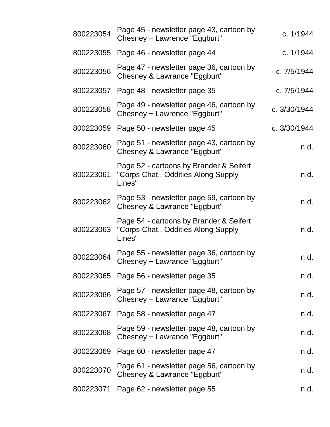| 800223054 | Page 45 - newsletter page 43, cartoon by<br>Chesney + Lawrence "Eggburt"               | c. 1/1944      |
|-----------|----------------------------------------------------------------------------------------|----------------|
| 800223055 | Page 46 - newsletter page 44                                                           | c. 1/1944      |
| 800223056 | Page 47 - newsletter page 36, cartoon by<br>Chesney & Lawrance "Eggburt"               | c. 7/5/1944    |
| 800223057 | Page 48 - newsletter page 35                                                           | c. 7/5/1944    |
| 800223058 | Page 49 - newsletter page 46, cartoon by<br>Chesney + Lawrence "Eggburt"               | c. 3/30/1944   |
| 800223059 | Page 50 - newsletter page 45                                                           | c. $3/30/1944$ |
| 800223060 | Page 51 - newsletter page 43, cartoon by<br>Chesney & Lawrance "Eggburt"               | n.d.           |
| 800223061 | Page 52 - cartoons by Brander & Seifert<br>"Corps Chat Oddities Along Supply<br>Lines" | n.d.           |
| 800223062 | Page 53 - newsletter page 59, cartoon by<br>Chesney & Lawrance "Eggburt"               | n.d.           |
| 800223063 | Page 54 - cartoons by Brander & Seifert<br>"Corps Chat Oddities Along Supply<br>Lines" | n.d.           |
| 800223064 | Page 55 - newsletter page 36, cartoon by<br>Chesney + Lawrance "Eggburt"               | n.d.           |
|           | 800223065 Page 56 - newsletter page 35                                                 | n.d.           |
| 800223066 | Page 57 - newsletter page 48, cartoon by<br>Chesney + Lawrance "Eggburt"               | n.d.           |
| 800223067 | Page 58 - newsletter page 47                                                           | n.d.           |
| 800223068 | Page 59 - newsletter page 48, cartoon by<br>Chesney + Lawrance "Eggburt"               | n.d.           |
| 800223069 | Page 60 - newsletter page 47                                                           | n.d.           |
| 800223070 | Page 61 - newsletter page 56, cartoon by<br>Chesney & Lawrance "Eggburt"               | n.d.           |
|           | 800223071 Page 62 - newsletter page 55                                                 | n.d.           |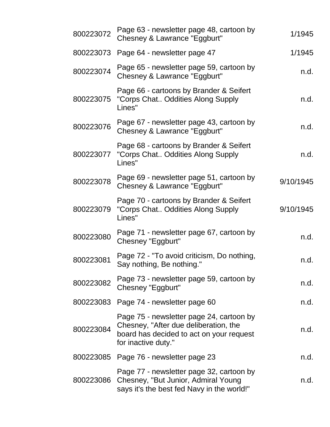| 800223072 | Page 63 - newsletter page 48, cartoon by<br>Chesney & Lawrance "Eggburt"                                                                             | 1/1945    |
|-----------|------------------------------------------------------------------------------------------------------------------------------------------------------|-----------|
| 800223073 | Page 64 - newsletter page 47                                                                                                                         | 1/1945    |
| 800223074 | Page 65 - newsletter page 59, cartoon by<br>Chesney & Lawrance "Eggburt"                                                                             | n.d.      |
| 800223075 | Page 66 - cartoons by Brander & Seifert<br>"Corps Chat Oddities Along Supply<br>Lines"                                                               | n.d.      |
| 800223076 | Page 67 - newsletter page 43, cartoon by<br>Chesney & Lawrance "Eggburt"                                                                             | n.d.      |
| 800223077 | Page 68 - cartoons by Brander & Seifert<br>"Corps Chat Oddities Along Supply<br>Lines"                                                               | n.d.      |
| 800223078 | Page 69 - newsletter page 51, cartoon by<br>Chesney & Lawrance "Eggburt"                                                                             | 9/10/1945 |
| 800223079 | Page 70 - cartoons by Brander & Seifert<br>"Corps Chat Oddities Along Supply<br>Lines"                                                               | 9/10/1945 |
| 800223080 | Page 71 - newsletter page 67, cartoon by<br>Chesney "Eggburt"                                                                                        | n.d.      |
| 800223081 | Page 72 - "To avoid criticism, Do nothing,<br>Say nothing, Be nothing."                                                                              | n.d.      |
| 800223082 | Page 73 - newsletter page 59, cartoon by<br>Chesney "Eggburt"                                                                                        | n.d.      |
|           | 800223083 Page 74 - newsletter page 60                                                                                                               | n.d.      |
| 800223084 | Page 75 - newsletter page 24, cartoon by<br>Chesney, "After due deliberation, the<br>board has decided to act on your request<br>for inactive duty." | n.d.      |
|           | 800223085 Page 76 - newsletter page 23                                                                                                               | n.d.      |
| 800223086 | Page 77 - newsletter page 32, cartoon by<br>Chesney, "But Junior, Admiral Young<br>says it's the best fed Navy in the world!"                        | n.d.      |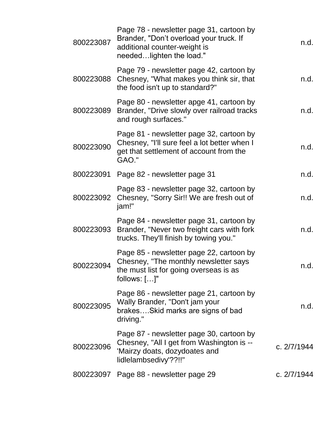| 800223087 | Page 78 - newsletter page 31, cartoon by<br>Brander, "Don't overload your truck. If<br>additional counter-weight is<br>neededlighten the load." | n.d.        |
|-----------|-------------------------------------------------------------------------------------------------------------------------------------------------|-------------|
| 800223088 | Page 79 - newsletter page 42, cartoon by<br>Chesney, "What makes you think sir, that<br>the food isn't up to standard?"                         | n.d.        |
| 800223089 | Page 80 - newsletter apge 41, cartoon by<br>Brander, "Drive slowly over railroad tracks<br>and rough surfaces."                                 | n.d.        |
| 800223090 | Page 81 - newsletter page 32, cartoon by<br>Chesney, "I'll sure feel a lot better when I<br>get that settlement of account from the<br>GAO."    | n.d.        |
| 800223091 | Page 82 - newsletter page 31                                                                                                                    | n.d.        |
| 800223092 | Page 83 - newsletter page 32, cartoon by<br>Chesney, "Sorry Sir!! We are fresh out of<br>jam!"                                                  | n.d.        |
| 800223093 | Page 84 - newsletter page 31, cartoon by<br>Brander, "Never two freight cars with fork<br>trucks. They'll finish by towing you."                | n.d.        |
| 800223094 | Page 85 - newsletter page 22, cartoon by<br>Chesney, "The monthly newsletter says<br>the must list for going overseas is as<br>follows: $[]$ "  | n.d.        |
| 800223095 | Page 86 - newsletter page 21, cartoon by<br>Wally Brander, "Don't jam your<br>brakesSkid marks are signs of bad<br>driving."                    | n.d.        |
| 800223096 | Page 87 - newsletter page 30, cartoon by<br>Chesney, "All I get from Washington is --<br>'Mairzy doats, dozydoates and<br>lidlelambsedivy'??!!" | c. 2/7/1944 |
| 800223097 | Page 88 - newsletter page 29                                                                                                                    | c. 2/7/1944 |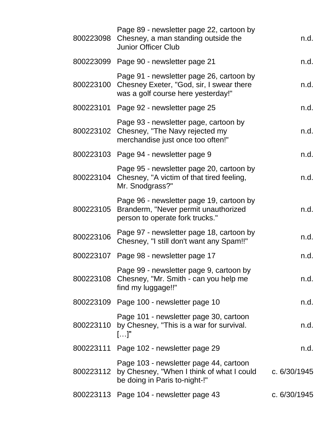| 800223098 | Page 89 - newsletter page 22, cartoon by<br>Chesney, a man standing outside the<br><b>Junior Officer Club</b>              | n.d.           |
|-----------|----------------------------------------------------------------------------------------------------------------------------|----------------|
|           | 800223099 Page 90 - newsletter page 21                                                                                     | n.d.           |
| 800223100 | Page 91 - newsletter page 26, cartoon by<br>Chesney Exeter, "God, sir, I swear there<br>was a golf course here yesterday!" | n.d.           |
|           | 800223101 Page 92 - newsletter page 25                                                                                     | n.d.           |
|           | Page 93 - newsletter page, cartoon by<br>800223102 Chesney, "The Navy rejected my<br>merchandise just once too often!"     | n.d.           |
|           | 800223103 Page 94 - newsletter page 9                                                                                      | n.d.           |
| 800223104 | Page 95 - newsletter page 20, cartoon by<br>Chesney, "A victim of that tired feeling,<br>Mr. Snodgrass?"                   | n.d.           |
| 800223105 | Page 96 - newsletter page 19, cartoon by<br>Branderm, "Never permit unauthorized<br>person to operate fork trucks."        | n.d.           |
| 800223106 | Page 97 - newsletter page 18, cartoon by<br>Chesney, "I still don't want any Spam!!"                                       | n.d.           |
|           | 800223107 Page 98 - newsletter page 17                                                                                     | n.d.           |
| 800223108 | Page 99 - newsletter page 9, cartoon by<br>Chesney, "Mr. Smith - can you help me<br>find my luggage!!"                     | n.d.           |
|           | 800223109 Page 100 - newsletter page 10                                                                                    | n.d.           |
| 800223110 | Page 101 - newsletter page 30, cartoon<br>by Chesney, "This is a war for survival.<br>$[]$ "                               | n.d.           |
|           | 800223111 Page 102 - newsletter page 29                                                                                    | n.d.           |
| 800223112 | Page 103 - newsletter page 44, cartoon<br>by Chesney, "When I think of what I could<br>be doing in Paris to-night-!"       | c. $6/30/1945$ |
|           | 800223113 Page 104 - newsletter page 43                                                                                    | c. 6/30/1945   |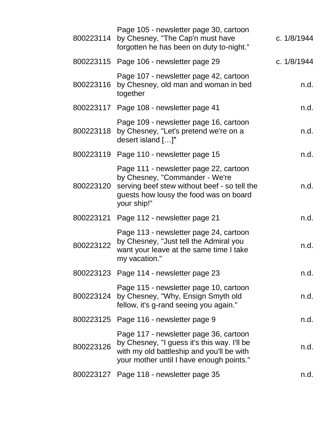| 800223114 | Page 105 - newsletter page 30, cartoon<br>by Chesney, "The Cap'n must have<br>forgotten he has been on duty to-night."                                                            | c. 1/8/1944 |
|-----------|-----------------------------------------------------------------------------------------------------------------------------------------------------------------------------------|-------------|
|           | 800223115 Page 106 - newsletter page 29                                                                                                                                           | c. 1/8/1944 |
| 800223116 | Page 107 - newsletter page 42, cartoon<br>by Chesney, old man and woman in bed<br>together                                                                                        | n.d.        |
|           | 800223117 Page 108 - newsletter page 41                                                                                                                                           | n.d.        |
| 800223118 | Page 109 - newsletter page 16, cartoon<br>by Chesney, "Let's pretend we're on a<br>desert island []"                                                                              | n.d.        |
| 800223119 | Page 110 - newsletter page 15                                                                                                                                                     | n.d.        |
| 800223120 | Page 111 - newsletter page 22, cartoon<br>by Chesney, "Commander - We're<br>serving beef stew without beef - so tell the<br>guests how lousy the food was on board<br>your ship!" | n.d.        |
| 800223121 | Page 112 - newsletter page 21                                                                                                                                                     | n.d.        |
| 800223122 | Page 113 - newsletter page 24, cartoon<br>by Chesney, "Just tell the Admiral you<br>want your leave at the same time I take<br>my vacation."                                      | n.d.        |
|           | 800223123 Page 114 - newsletter page 23                                                                                                                                           | n.d.        |
|           | Page 115 - newsletter page 10, cartoon<br>800223124 by Chesney, "Why, Ensign Smyth old<br>fellow, it's g-rand seeing you again."                                                  | n.d.        |
|           | 800223125 Page 116 - newsletter page 9                                                                                                                                            | n.d.        |
| 800223126 | Page 117 - newsletter page 36, cartoon<br>by Chesney, "I guess it's this way. I'll be<br>with my old battleship and you'll be with<br>your mother until I have enough points."    | n.d.        |
|           | 800223127 Page 118 - newsletter page 35                                                                                                                                           | n.d.        |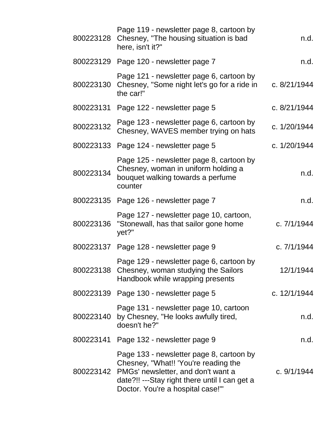| 800223128 | Page 119 - newsletter page 8, cartoon by<br>Chesney, "The housing situation is bad<br>here, isn't it?"                                                                                                      | n.d.         |
|-----------|-------------------------------------------------------------------------------------------------------------------------------------------------------------------------------------------------------------|--------------|
|           | 800223129 Page 120 - newsletter page 7                                                                                                                                                                      | n.d.         |
| 800223130 | Page 121 - newsletter page 6, cartoon by<br>Chesney, "Some night let's go for a ride in<br>the car!"                                                                                                        | c. 8/21/1944 |
|           | 800223131 Page 122 - newsletter page 5                                                                                                                                                                      | c. 8/21/1944 |
| 800223132 | Page 123 - newsletter page 6, cartoon by<br>Chesney, WAVES member trying on hats                                                                                                                            | c. 1/20/1944 |
| 800223133 | Page 124 - newsletter page 5                                                                                                                                                                                | c. 1/20/1944 |
| 800223134 | Page 125 - newsletter page 8, cartoon by<br>Chesney, woman in uniform holding a<br>bouquet walking towards a perfume<br>counter                                                                             | n.d.         |
| 800223135 | Page 126 - newsletter page 7                                                                                                                                                                                | n.d.         |
| 800223136 | Page 127 - newsletter page 10, cartoon,<br>"Stonewall, has that sailor gone home<br>yet?"                                                                                                                   | c. 7/1/1944  |
|           | 800223137 Page 128 - newsletter page 9                                                                                                                                                                      | c. 7/1/1944  |
| 800223138 | Page 129 - newsletter page 6, cartoon by<br>Chesney, woman studying the Sailors<br>Handbook while wrapping presents                                                                                         | 12/1/1944    |
| 800223139 | Page 130 - newsletter page 5                                                                                                                                                                                | c. 12/1/1944 |
| 800223140 | Page 131 - newsletter page 10, cartoon<br>by Chesney, "He looks awfully tired,<br>doesn't he?"                                                                                                              | n.d.         |
| 800223141 | Page 132 - newsletter page 9                                                                                                                                                                                | n.d.         |
| 800223142 | Page 133 - newsletter page 8, cartoon by<br>Chesney, "What!! 'You're reading the<br>PMGs' newsletter, and don't want a<br>date?!! ---Stay right there until I can get a<br>Doctor. You're a hospital case!" | c. 9/1/1944  |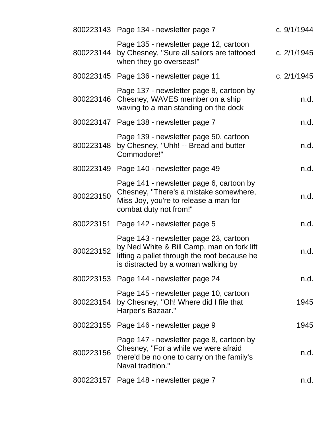|           | 800223143 Page 134 - newsletter page 7                                                                                                                                      | c. 9/1/1944 |
|-----------|-----------------------------------------------------------------------------------------------------------------------------------------------------------------------------|-------------|
| 800223144 | Page 135 - newsletter page 12, cartoon<br>by Chesney, "Sure all sailors are tattooed<br>when they go overseas!"                                                             | c. 2/1/1945 |
|           | 800223145 Page 136 - newsletter page 11                                                                                                                                     | c. 2/1/1945 |
| 800223146 | Page 137 - newsletter page 8, cartoon by<br>Chesney, WAVES member on a ship<br>waving to a man standing on the dock                                                         | n.d.        |
|           | 800223147 Page 138 - newsletter page 7                                                                                                                                      | n.d.        |
| 800223148 | Page 139 - newsletter page 50, cartoon<br>by Chesney, "Uhh! -- Bread and butter<br>Commodore!"                                                                              | n.d.        |
|           | 800223149 Page 140 - newsletter page 49                                                                                                                                     | n.d.        |
| 800223150 | Page 141 - newsletter page 6, cartoon by<br>Chesney, "There's a mistake somewhere,<br>Miss Joy, you're to release a man for<br>combat duty not from!"                       | n.d.        |
| 800223151 | Page 142 - newsletter page 5                                                                                                                                                | n.d.        |
| 800223152 | Page 143 - newsletter page 23, cartoon<br>by Ned White & Bill Camp, man on fork lift<br>lifting a pallet through the roof because he<br>is distracted by a woman walking by | n.d.        |
|           | 800223153 Page 144 - newsletter page 24                                                                                                                                     | n.d.        |
| 800223154 | Page 145 - newsletter page 10, cartoon<br>by Chesney, "Oh! Where did I file that<br>Harper's Bazaar."                                                                       | 1945        |
| 800223155 | Page 146 - newsletter page 9                                                                                                                                                | 1945        |
| 800223156 | Page 147 - newsletter page 8, cartoon by<br>Chesney, "For a while we were afraid<br>there'd be no one to carry on the family's<br>Naval tradition."                         | n.d.        |
|           | 800223157 Page 148 - newsletter page 7                                                                                                                                      | n.d.        |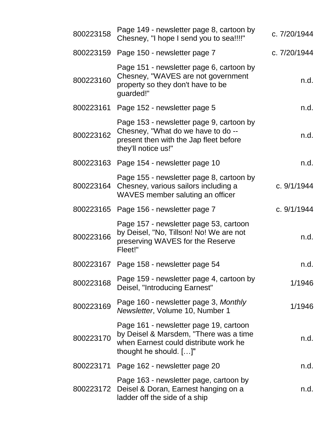| 800223158 | Page 149 - newsletter page 8, cartoon by<br>Chesney, "I hope I send you to sea!!!!"                                                                    | c. 7/20/1944 |
|-----------|--------------------------------------------------------------------------------------------------------------------------------------------------------|--------------|
| 800223159 | Page 150 - newsletter page 7                                                                                                                           | c. 7/20/1944 |
| 800223160 | Page 151 - newsletter page 6, cartoon by<br>Chesney, "WAVES are not government<br>property so they don't have to be<br>guarded!"                       | n.d.         |
| 800223161 | Page 152 - newsletter page 5                                                                                                                           | n.d.         |
| 800223162 | Page 153 - newsletter page 9, cartoon by<br>Chesney, "What do we have to do --<br>present then with the Jap fleet before<br>they'll notice us!"        | n.d.         |
| 800223163 | Page 154 - newsletter page 10                                                                                                                          | n.d.         |
| 800223164 | Page 155 - newsletter page 8, cartoon by<br>Chesney, various sailors including a<br>WAVES member saluting an officer                                   | c. 9/1/1944  |
| 800223165 | Page 156 - newsletter page 7                                                                                                                           | c. 9/1/1944  |
| 800223166 | Page 157 - newsletter page 53, cartoon<br>by Deisel, "No, Tillson! No! We are not<br>preserving WAVES for the Reserve<br>Fleet!"                       | n.d.         |
| 800223167 | Page 158 - newsletter page 54                                                                                                                          | n.d.         |
| 800223168 | Page 159 - newsletter page 4, cartoon by<br>Deisel, "Introducing Earnest"                                                                              | 1/1946       |
| 800223169 | Page 160 - newsletter page 3, Monthly<br>Newsletter, Volume 10, Number 1                                                                               | 1/1946       |
| 800223170 | Page 161 - newsletter page 19, cartoon<br>by Deisel & Marsdem, "There was a time<br>when Earnest could distribute work he<br>thought he should. $[]$ " | n.d.         |
| 800223171 | Page 162 - newsletter page 20                                                                                                                          | n.d.         |
| 800223172 | Page 163 - newsletter page, cartoon by<br>Deisel & Doran, Earnest hanging on a<br>ladder off the side of a ship                                        | n.d.         |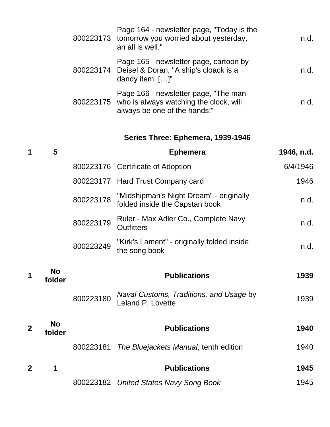| Page 164 - newsletter page, "Today is the<br>800223173 tomorrow you worried about yesterday,<br>an all is well."         | n.d. |
|--------------------------------------------------------------------------------------------------------------------------|------|
| Page 165 - newsletter page, cartoon by<br>800223174 Deisel & Doran, "A ship's cloack is a<br>dandy item. []"             | n d  |
| Page 166 - newsletter page, "The man<br>800223175 who is always watching the clock, will<br>always be one of the hands!" | n d  |

# **Series Three: Ephemera, 1939-1946**

| 1              | 5                   |           | <b>Ephemera</b>                                                           | 1946, n.d. |
|----------------|---------------------|-----------|---------------------------------------------------------------------------|------------|
|                |                     |           | 800223176 Certificate of Adoption                                         | 6/4/1946   |
|                |                     | 800223177 | Hard Trust Company card                                                   | 1946       |
|                |                     | 800223178 | "Midshipman's Night Dream" - originally<br>folded inside the Capstan book | n.d.       |
|                |                     | 800223179 | Ruler - Max Adler Co., Complete Navy<br><b>Outfitters</b>                 | n.d.       |
|                |                     | 800223249 | "Kirk's Lament" - originally folded inside<br>the song book               | n.d.       |
|                | <b>No</b>           |           |                                                                           |            |
|                | folder              |           | <b>Publications</b>                                                       | 1939       |
|                |                     | 800223180 | Naval Customs, Traditions, and Usage by<br>Leland P. Lovette              | 1939       |
| $\overline{2}$ | <b>No</b><br>folder |           | <b>Publications</b>                                                       | 1940       |
|                |                     | 800223181 | The Bluejackets Manual, tenth edition                                     | 1940       |
| $\overline{2}$ | 1                   |           | <b>Publications</b>                                                       | 1945       |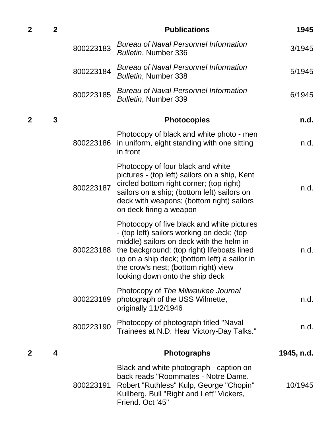| $\overline{2}$ | $\overline{2}$ |           | <b>Publications</b>                                                                                                                                                                                                                                                                                            | 1945       |
|----------------|----------------|-----------|----------------------------------------------------------------------------------------------------------------------------------------------------------------------------------------------------------------------------------------------------------------------------------------------------------------|------------|
|                |                | 800223183 | <b>Bureau of Naval Personnel Information</b><br>Bulletin, Number 336                                                                                                                                                                                                                                           | 3/1945     |
|                |                | 800223184 | <b>Bureau of Naval Personnel Information</b><br><b>Bulletin, Number 338</b>                                                                                                                                                                                                                                    | 5/1945     |
|                |                | 800223185 | <b>Bureau of Naval Personnel Information</b><br>Bulletin, Number 339                                                                                                                                                                                                                                           | 6/1945     |
| 2              | 3              |           | <b>Photocopies</b>                                                                                                                                                                                                                                                                                             | n.d.       |
|                |                | 800223186 | Photocopy of black and white photo - men<br>in uniform, eight standing with one sitting<br>in front                                                                                                                                                                                                            | n.d.       |
|                |                | 800223187 | Photocopy of four black and white<br>pictures - (top left) sailors on a ship, Kent<br>circled bottom right corner; (top right)<br>sailors on a ship; (bottom left) sailors on<br>deck with weapons; (bottom right) sailors<br>on deck firing a weapon                                                          | n.d.       |
|                |                | 800223188 | Photocopy of five black and white pictures<br>- (top left) sailors working on deck; (top<br>middle) sailors on deck with the helm in<br>the background; (top right) lifeboats lined<br>up on a ship deck; (bottom left) a sailor in<br>the crow's nest; (bottom right) view<br>looking down onto the ship deck | n.d.       |
|                |                | 800223189 | Photocopy of The Milwaukee Journal<br>photograph of the USS Wilmette,<br>originally 11/2/1946                                                                                                                                                                                                                  | n.d.       |
|                |                | 800223190 | Photocopy of photograph titled "Naval<br>Trainees at N.D. Hear Victory-Day Talks."                                                                                                                                                                                                                             | n.d.       |
| 2              | 4              |           | <b>Photographs</b>                                                                                                                                                                                                                                                                                             | 1945, n.d. |
|                |                | 800223191 | Black and white photograph - caption on<br>back reads "Roommates - Notre Dame.<br>Robert "Ruthless" Kulp, George "Chopin"<br>Kullberg, Bull "Right and Left" Vickers,<br>Friend. Oct '45"                                                                                                                      | 10/1945    |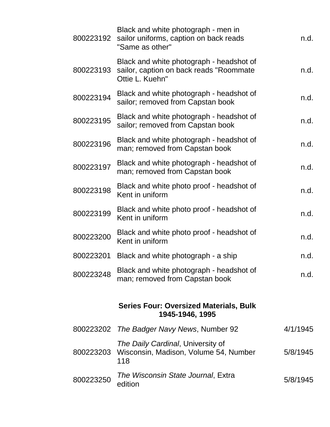| 800223192 | Black and white photograph - men in<br>sailor uniforms, caption on back reads<br>"Same as other"       | n.d.     |
|-----------|--------------------------------------------------------------------------------------------------------|----------|
| 800223193 | Black and white photograph - headshot of<br>sailor, caption on back reads "Roommate<br>Ottie L. Kuehn" | n.d.     |
| 800223194 | Black and white photograph - headshot of<br>sailor; removed from Capstan book                          | n.d.     |
| 800223195 | Black and white photograph - headshot of<br>sailor; removed from Capstan book                          | n.d.     |
| 800223196 | Black and white photograph - headshot of<br>man; removed from Capstan book                             | n.d.     |
| 800223197 | Black and white photograph - headshot of<br>man; removed from Capstan book                             | n.d.     |
| 800223198 | Black and white photo proof - headshot of<br>Kent in uniform                                           | n.d.     |
| 800223199 | Black and white photo proof - headshot of<br>Kent in uniform                                           | n.d.     |
| 800223200 | Black and white photo proof - headshot of<br>Kent in uniform                                           | n.d.     |
| 800223201 | Black and white photograph - a ship                                                                    | n.d.     |
| 800223248 | Black and white photograph - headshot of<br>man; removed from Capstan book                             | n.d.     |
|           |                                                                                                        |          |
|           | <b>Series Four: Oversized Materials, Bulk</b><br>1945-1946, 1995                                       |          |
| 800223202 | The Badger Navy News, Number 92                                                                        | 4/1/1945 |
| 800223203 | The Daily Cardinal, University of<br>Wisconsin, Madison, Volume 54, Number<br>118                      | 5/8/1945 |
| 800223250 | The Wisconsin State Journal, Extra<br>edition                                                          | 5/8/1945 |